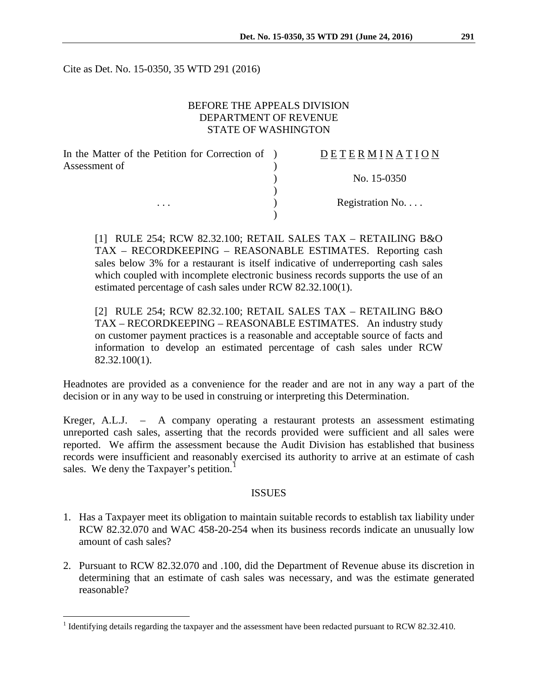Cite as Det. No. 15-0350, 35 WTD 291 (2016)

## BEFORE THE APPEALS DIVISION DEPARTMENT OF REVENUE STATE OF WASHINGTON

| In the Matter of the Petition for Correction of ) | DETERMINATION   |
|---------------------------------------------------|-----------------|
| Assessment of<br>$\cdots$                         |                 |
|                                                   | No. 15-0350     |
|                                                   |                 |
|                                                   | Registration No |
|                                                   |                 |

[1] RULE 254; RCW 82.32.100; RETAIL SALES TAX – RETAILING B&O TAX – RECORDKEEPING – REASONABLE ESTIMATES. Reporting cash sales below 3% for a restaurant is itself indicative of underreporting cash sales which coupled with incomplete electronic business records supports the use of an estimated percentage of cash sales under RCW 82.32.100(1).

[2] RULE 254; RCW 82.32.100; RETAIL SALES TAX – RETAILING B&O TAX – RECORDKEEPING – REASONABLE ESTIMATES. An industry study on customer payment practices is a reasonable and acceptable source of facts and information to develop an estimated percentage of cash sales under RCW 82.32.100(1).

Headnotes are provided as a convenience for the reader and are not in any way a part of the decision or in any way to be used in construing or interpreting this Determination.

Kreger, A.L.J. – A company operating a restaurant protests an assessment estimating unreported cash sales, asserting that the records provided were sufficient and all sales were reported. We affirm the assessment because the Audit Division has established that business records were insufficient and reasonably exercised its authority to arrive at an estimate of cash sales. We deny the Taxpayer's petition.<sup>[1](#page-0-0)</sup>

#### **ISSUES**

- 1. Has a Taxpayer meet its obligation to maintain suitable records to establish tax liability under RCW 82.32.070 and WAC 458-20-254 when its business records indicate an unusually low amount of cash sales?
- 2. Pursuant to RCW 82.32.070 and .100, did the Department of Revenue abuse its discretion in determining that an estimate of cash sales was necessary, and was the estimate generated reasonable?

<span id="page-0-0"></span><sup>&</sup>lt;sup>1</sup> Identifying details regarding the taxpayer and the assessment have been redacted pursuant to RCW 82.32.410.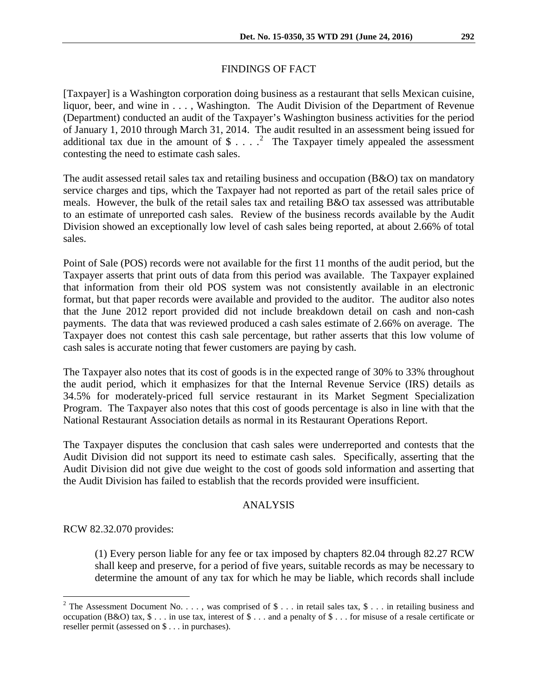# FINDINGS OF FACT

[Taxpayer] is a Washington corporation doing business as a restaurant that sells Mexican cuisine, liquor, beer, and wine in . . . , Washington. The Audit Division of the Department of Revenue (Department) conducted an audit of the Taxpayer's Washington business activities for the period of January 1, 2010 through March 31, 2014. The audit resulted in an assessment being issued for additional tax due in the amount of  $\frac{1}{2}$  $\frac{1}{2}$  $\frac{1}{2}$ ....<sup>2</sup> The Taxpayer timely appealed the assessment contesting the need to estimate cash sales.

The audit assessed retail sales tax and retailing business and occupation (B&O) tax on mandatory service charges and tips, which the Taxpayer had not reported as part of the retail sales price of meals. However, the bulk of the retail sales tax and retailing B&O tax assessed was attributable to an estimate of unreported cash sales. Review of the business records available by the Audit Division showed an exceptionally low level of cash sales being reported, at about 2.66% of total sales.

Point of Sale (POS) records were not available for the first 11 months of the audit period, but the Taxpayer asserts that print outs of data from this period was available. The Taxpayer explained that information from their old POS system was not consistently available in an electronic format, but that paper records were available and provided to the auditor. The auditor also notes that the June 2012 report provided did not include breakdown detail on cash and non-cash payments. The data that was reviewed produced a cash sales estimate of 2.66% on average. The Taxpayer does not contest this cash sale percentage, but rather asserts that this low volume of cash sales is accurate noting that fewer customers are paying by cash.

The Taxpayer also notes that its cost of goods is in the expected range of 30% to 33% throughout the audit period, which it emphasizes for that the Internal Revenue Service (IRS) details as 34.5% for moderately-priced full service restaurant in its Market Segment Specialization Program. The Taxpayer also notes that this cost of goods percentage is also in line with that the National Restaurant Association details as normal in its Restaurant Operations Report.

The Taxpayer disputes the conclusion that cash sales were underreported and contests that the Audit Division did not support its need to estimate cash sales. Specifically, asserting that the Audit Division did not give due weight to the cost of goods sold information and asserting that the Audit Division has failed to establish that the records provided were insufficient.

### ANALYSIS

RCW 82.32.070 provides:

(1) Every person liable for any fee or tax imposed by chapters 82.04 through 82.27 RCW shall keep and preserve, for a period of five years, suitable records as may be necessary to determine the amount of any tax for which he may be liable, which records shall include

<span id="page-1-0"></span><sup>&</sup>lt;sup>2</sup> The Assessment Document No. . . . , was comprised of \$ . . . in retail sales tax, \$ . . . in retailing business and occupation  $(B&0)$  tax,  $\$ \dots$  in use tax, interest of  $\$ \dots$  and a penalty of  $\$ \dots$  for misuse of a resale certificate or reseller permit (assessed on \$ . . . in purchases).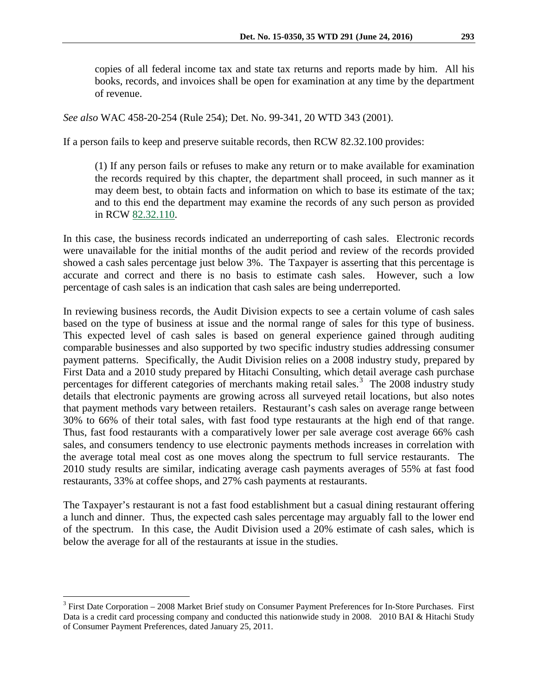copies of all federal income tax and state tax returns and reports made by him. All his books, records, and invoices shall be open for examination at any time by the department of revenue.

*See also* WAC 458-20-254 (Rule 254); Det. No. 99-341, 20 WTD 343 (2001).

If a person fails to keep and preserve suitable records, then RCW 82.32.100 provides:

(1) If any person fails or refuses to make any return or to make available for examination the records required by this chapter, the department shall proceed, in such manner as it may deem best, to obtain facts and information on which to base its estimate of the tax; and to this end the department may examine the records of any such person as provided in RCW [82.32.110.](http://apps.leg.wa.gov/RCW/default.aspx?cite=82.32.110)

In this case, the business records indicated an underreporting of cash sales. Electronic records were unavailable for the initial months of the audit period and review of the records provided showed a cash sales percentage just below 3%. The Taxpayer is asserting that this percentage is accurate and correct and there is no basis to estimate cash sales. However, such a low percentage of cash sales is an indication that cash sales are being underreported.

In reviewing business records, the Audit Division expects to see a certain volume of cash sales based on the type of business at issue and the normal range of sales for this type of business. This expected level of cash sales is based on general experience gained through auditing comparable businesses and also supported by two specific industry studies addressing consumer payment patterns. Specifically, the Audit Division relies on a 2008 industry study, prepared by First Data and a 2010 study prepared by Hitachi Consulting, which detail average cash purchase percentages for different categories of merchants making retail sales.<sup>[3](#page-2-0)</sup> The 2008 industry study details that electronic payments are growing across all surveyed retail locations, but also notes that payment methods vary between retailers. Restaurant's cash sales on average range between 30% to 66% of their total sales, with fast food type restaurants at the high end of that range. Thus, fast food restaurants with a comparatively lower per sale average cost average 66% cash sales, and consumers tendency to use electronic payments methods increases in correlation with the average total meal cost as one moves along the spectrum to full service restaurants. The 2010 study results are similar, indicating average cash payments averages of 55% at fast food restaurants, 33% at coffee shops, and 27% cash payments at restaurants.

The Taxpayer's restaurant is not a fast food establishment but a casual dining restaurant offering a lunch and dinner. Thus, the expected cash sales percentage may arguably fall to the lower end of the spectrum. In this case, the Audit Division used a 20% estimate of cash sales, which is below the average for all of the restaurants at issue in the studies.

<span id="page-2-0"></span> <sup>3</sup> First Date Corporation – 2008 Market Brief study on Consumer Payment Preferences for In-Store Purchases. First Data is a credit card processing company and conducted this nationwide study in 2008. 2010 BAI & Hitachi Study of Consumer Payment Preferences, dated January 25, 2011.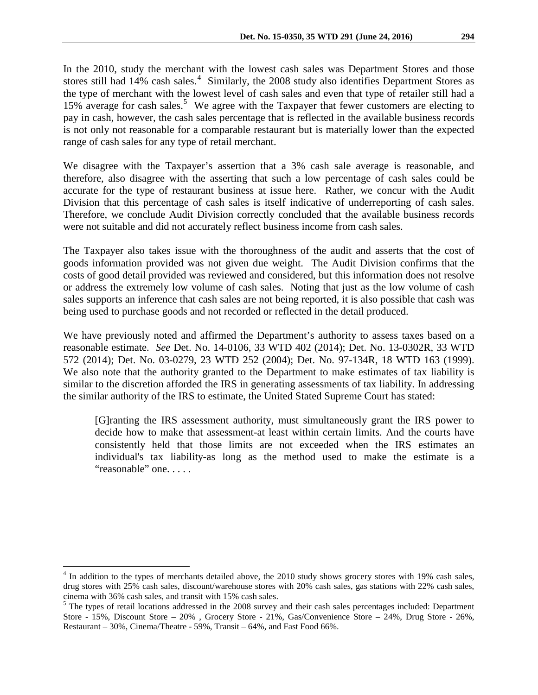In the 2010, study the merchant with the lowest cash sales was Department Stores and those stores still had  $14\%$  $14\%$  $14\%$  cash sales.<sup>4</sup> Similarly, the 2008 study also identifies Department Stores as the type of merchant with the lowest level of cash sales and even that type of retailer still had a 1[5](#page-3-1)% average for cash sales.<sup>5</sup> We agree with the Taxpayer that fewer customers are electing to pay in cash, however, the cash sales percentage that is reflected in the available business records is not only not reasonable for a comparable restaurant but is materially lower than the expected range of cash sales for any type of retail merchant.

We disagree with the Taxpayer's assertion that a 3% cash sale average is reasonable, and therefore, also disagree with the asserting that such a low percentage of cash sales could be accurate for the type of restaurant business at issue here. Rather, we concur with the Audit Division that this percentage of cash sales is itself indicative of underreporting of cash sales. Therefore, we conclude Audit Division correctly concluded that the available business records were not suitable and did not accurately reflect business income from cash sales.

The Taxpayer also takes issue with the thoroughness of the audit and asserts that the cost of goods information provided was not given due weight. The Audit Division confirms that the costs of good detail provided was reviewed and considered, but this information does not resolve or address the extremely low volume of cash sales. Noting that just as the low volume of cash sales supports an inference that cash sales are not being reported, it is also possible that cash was being used to purchase goods and not recorded or reflected in the detail produced.

We have previously noted and affirmed the Department's authority to assess taxes based on a reasonable estimate. *See* Det. No. 14-0106, 33 WTD 402 (2014); Det. No. 13-0302R, 33 WTD 572 (2014); Det. No. 03-0279, 23 WTD 252 (2004); Det. No. 97-134R, 18 WTD 163 (1999). We also note that the authority granted to the Department to make estimates of tax liability is similar to the discretion afforded the IRS in generating assessments of tax liability. In addressing the similar authority of the IRS to estimate, the United Stated Supreme Court has stated:

[G]ranting the IRS assessment authority, must simultaneously grant the IRS power to decide how to make that assessment-at least within certain limits. And the courts have consistently held that those limits are not exceeded when the IRS estimates an individual's tax liability-as long as the method used to make the estimate is a "reasonable" one. . . . .

<span id="page-3-0"></span><sup>&</sup>lt;sup>4</sup> In addition to the types of merchants detailed above, the 2010 study shows grocery stores with 19% cash sales, drug stores with 25% cash sales, discount/warehouse stores with 20% cash sales, gas stations with 22% cash sales, cinema with 36% cash sales, and transit with 15% cash sales.

<span id="page-3-1"></span><sup>&</sup>lt;sup>5</sup> The types of retail locations addressed in the 2008 survey and their cash sales percentages included: Department Store - 15%, Discount Store – 20% , Grocery Store - 21%, Gas/Convenience Store – 24%, Drug Store - 26%, Restaurant – 30%, Cinema/Theatre - 59%, Transit – 64%, and Fast Food 66%.